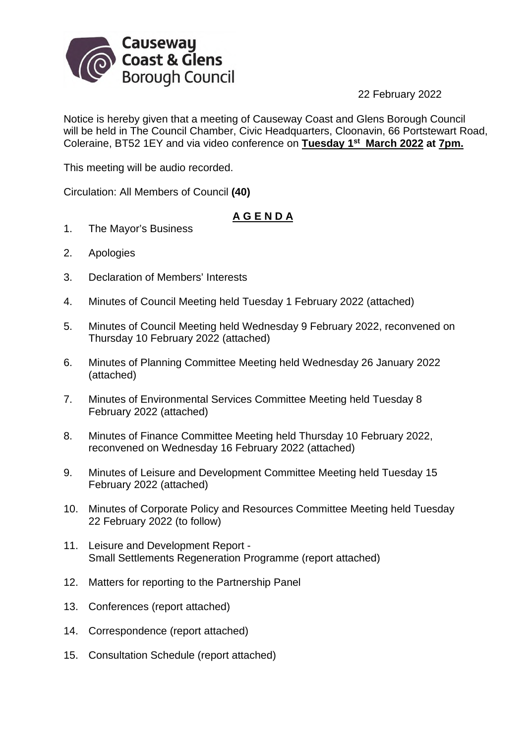

22 February 2022

Notice is hereby given that a meeting of Causeway Coast and Glens Borough Council will be held in The Council Chamber, Civic Headquarters, Cloonavin, 66 Portstewart Road, Coleraine, BT52 1EY and via video conference on **Tuesday 1st March 2022 at 7pm.**

This meeting will be audio recorded.

Circulation: All Members of Council **(40)**

## **A G E N D A**

- 1. The Mayor's Business
- 2. Apologies
- 3. Declaration of Members' Interests
- 4. Minutes of Council Meeting held Tuesday 1 February 2022 (attached)
- 5. Minutes of Council Meeting held Wednesday 9 February 2022, reconvened on Thursday 10 February 2022 (attached)
- 6. Minutes of Planning Committee Meeting held Wednesday 26 January 2022 (attached)
- 7. Minutes of Environmental Services Committee Meeting held Tuesday 8 February 2022 (attached)
- 8. Minutes of Finance Committee Meeting held Thursday 10 February 2022, reconvened on Wednesday 16 February 2022 (attached)
- 9. Minutes of Leisure and Development Committee Meeting held Tuesday 15 February 2022 (attached)
- 10. Minutes of Corporate Policy and Resources Committee Meeting held Tuesday 22 February 2022 (to follow)
- 11. Leisure and Development Report Small Settlements Regeneration Programme (report attached)
- 12. Matters for reporting to the Partnership Panel
- 13. Conferences (report attached)
- 14. Correspondence (report attached)
- 15. Consultation Schedule (report attached)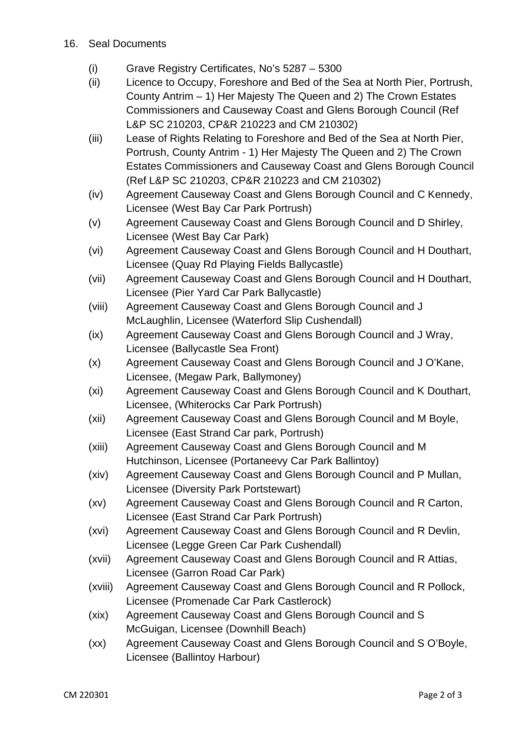- 16. Seal Documents
	- (i) Grave Registry Certificates, No's 5287 5300
	- (ii) Licence to Occupy, Foreshore and Bed of the Sea at North Pier, Portrush, County Antrim – 1) Her Majesty The Queen and 2) The Crown Estates Commissioners and Causeway Coast and Glens Borough Council (Ref L&P SC 210203, CP&R 210223 and CM 210302)
	- (iii) Lease of Rights Relating to Foreshore and Bed of the Sea at North Pier, Portrush, County Antrim - 1) Her Majesty The Queen and 2) The Crown Estates Commissioners and Causeway Coast and Glens Borough Council (Ref L&P SC 210203, CP&R 210223 and CM 210302)
	- (iv) Agreement Causeway Coast and Glens Borough Council and C Kennedy, Licensee (West Bay Car Park Portrush)
	- (v) Agreement Causeway Coast and Glens Borough Council and D Shirley, Licensee (West Bay Car Park)
	- (vi) Agreement Causeway Coast and Glens Borough Council and H Douthart, Licensee (Quay Rd Playing Fields Ballycastle)
	- (vii) Agreement Causeway Coast and Glens Borough Council and H Douthart, Licensee (Pier Yard Car Park Ballycastle)
	- (viii) Agreement Causeway Coast and Glens Borough Council and J McLaughlin, Licensee (Waterford Slip Cushendall)
	- (ix) Agreement Causeway Coast and Glens Borough Council and J Wray, Licensee (Ballycastle Sea Front)
	- (x) Agreement Causeway Coast and Glens Borough Council and J O'Kane, Licensee, (Megaw Park, Ballymoney)
	- (xi) Agreement Causeway Coast and Glens Borough Council and K Douthart, Licensee, (Whiterocks Car Park Portrush)
	- (xii) Agreement Causeway Coast and Glens Borough Council and M Boyle, Licensee (East Strand Car park, Portrush)
	- (xiii) Agreement Causeway Coast and Glens Borough Council and M Hutchinson, Licensee (Portaneevy Car Park Ballintoy)
	- (xiv) Agreement Causeway Coast and Glens Borough Council and P Mullan, Licensee (Diversity Park Portstewart)
	- (xv) Agreement Causeway Coast and Glens Borough Council and R Carton, Licensee (East Strand Car Park Portrush)
	- (xvi) Agreement Causeway Coast and Glens Borough Council and R Devlin, Licensee (Legge Green Car Park Cushendall)
	- (xvii) Agreement Causeway Coast and Glens Borough Council and R Attias, Licensee (Garron Road Car Park)
	- (xviii) Agreement Causeway Coast and Glens Borough Council and R Pollock, Licensee (Promenade Car Park Castlerock)
	- (xix) Agreement Causeway Coast and Glens Borough Council and S McGuigan, Licensee (Downhill Beach)
	- (xx) Agreement Causeway Coast and Glens Borough Council and S O'Boyle, Licensee (Ballintoy Harbour)